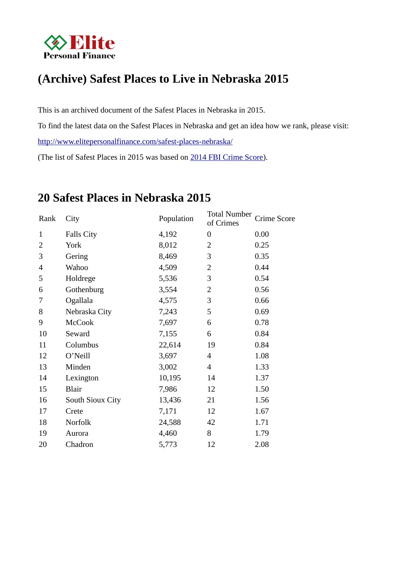

# **(Archive) Safest Places to Live in Nebraska 2015**

This is an archived document of the Safest Places in Nebraska in 2015. To find the latest data on the Safest Places in Nebraska and get an idea how we rank, please visit: http://www.elitepersonalfinance.com/safest-places-nebraska/ (The list of Safest Places in 2015 was based on 2014 FBI Crime Score).

## **20 Safest Places in Nebraska 2015**

| Rank                     | City              | Population | <b>Total Number</b><br>of Crimes | Crime Score |
|--------------------------|-------------------|------------|----------------------------------|-------------|
| 1                        | <b>Falls City</b> | 4,192      | $\boldsymbol{0}$                 | 0.00        |
| 2                        | York              | 8,012      | 2                                | 0.25        |
| 3                        | Gering            | 8,469      | 3                                | 0.35        |
| $\overline{\mathcal{A}}$ | Wahoo             | 4,509      | 2                                | 0.44        |
| 5                        | Holdrege          | 5,536      | 3                                | 0.54        |
| 6                        | Gothenburg        | 3,554      | 2                                | 0.56        |
| 7                        | Ogallala          | 4,575      | 3                                | 0.66        |
| 8                        | Nebraska City     | 7,243      | 5                                | 0.69        |
| 9                        | <b>McCook</b>     | 7,697      | 6                                | 0.78        |
| 10                       | Seward            | 7,155      | 6                                | 0.84        |
| 11                       | Columbus          | 22,614     | 19                               | 0.84        |
| 12                       | O'Neill           | 3,697      | $\overline{\mathcal{A}}$         | 1.08        |
| 13                       | Minden            | 3,002      | 4                                | 1.33        |
| 14                       | Lexington         | 10,195     | 14                               | 1.37        |
| 15                       | <b>Blair</b>      | 7,986      | 12                               | 1.50        |
| 16                       | South Sioux City  | 13,436     | 21                               | 1.56        |
| 17                       | Crete             | 7,171      | 12                               | 1.67        |
| 18                       | Norfolk           | 24,588     | 42                               | 1.71        |
| 19                       | Aurora            | 4,460      | 8                                | 1.79        |
| 20                       | Chadron           | 5,773      | 12                               | 2.08        |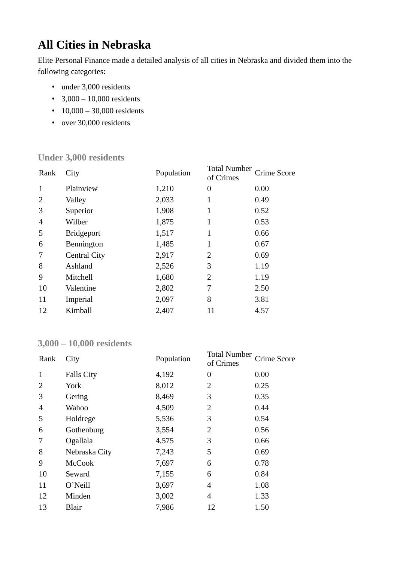# **All Cities in Nebraska**

Elite Personal Finance made a detailed analysis of all cities in Nebraska and divided them into the following categories:

- under 3,000 residents
- $3,000 10,000$  residents
- 10,000 30,000 residents
- over 30,000 residents

#### **Under 3,000 residents**

| Rank           | City                | Population | <b>Total Number</b><br>of Crimes | Crime Score |
|----------------|---------------------|------------|----------------------------------|-------------|
| 1              | Plainview           | 1,210      | 0                                | 0.00        |
| 2              | Valley              | 2,033      | 1                                | 0.49        |
| 3              | Superior            | 1,908      | 1                                | 0.52        |
| $\overline{4}$ | Wilber              | 1,875      | 1                                | 0.53        |
| 5              | <b>Bridgeport</b>   | 1,517      | 1                                | 0.66        |
| 6              | Bennington          | 1,485      | 1                                | 0.67        |
| 7              | <b>Central City</b> | 2,917      | 2                                | 0.69        |
| 8              | Ashland             | 2,526      | 3                                | 1.19        |
| 9              | Mitchell            | 1,680      | 2                                | 1.19        |
| 10             | Valentine           | 2,802      | 7                                | 2.50        |
| 11             | Imperial            | 2,097      | 8                                | 3.81        |
| 12             | Kimball             | 2,407      | 11                               | 4.57        |

#### **3,000 – 10,000 residents**

| Rank           | City              | Population | <b>Total Number</b><br>of Crimes | Crime Score |
|----------------|-------------------|------------|----------------------------------|-------------|
| 1              | <b>Falls City</b> | 4,192      | 0                                | 0.00        |
| 2              | York              | 8,012      | 2                                | 0.25        |
| 3              | Gering            | 8,469      | 3                                | 0.35        |
| $\overline{4}$ | Wahoo             | 4,509      | $\overline{2}$                   | 0.44        |
| 5              | Holdrege          | 5,536      | 3                                | 0.54        |
| 6              | Gothenburg        | 3,554      | 2                                | 0.56        |
| 7              | Ogallala          | 4,575      | 3                                | 0.66        |
| 8              | Nebraska City     | 7,243      | 5                                | 0.69        |
| 9              | <b>McCook</b>     | 7,697      | 6                                | 0.78        |
| 10             | Seward            | 7,155      | 6                                | 0.84        |
| 11             | O'Neill           | 3,697      | 4                                | 1.08        |
| 12             | Minden            | 3,002      | 4                                | 1.33        |
| 13             | <b>Blair</b>      | 7,986      | 12                               | 1.50        |